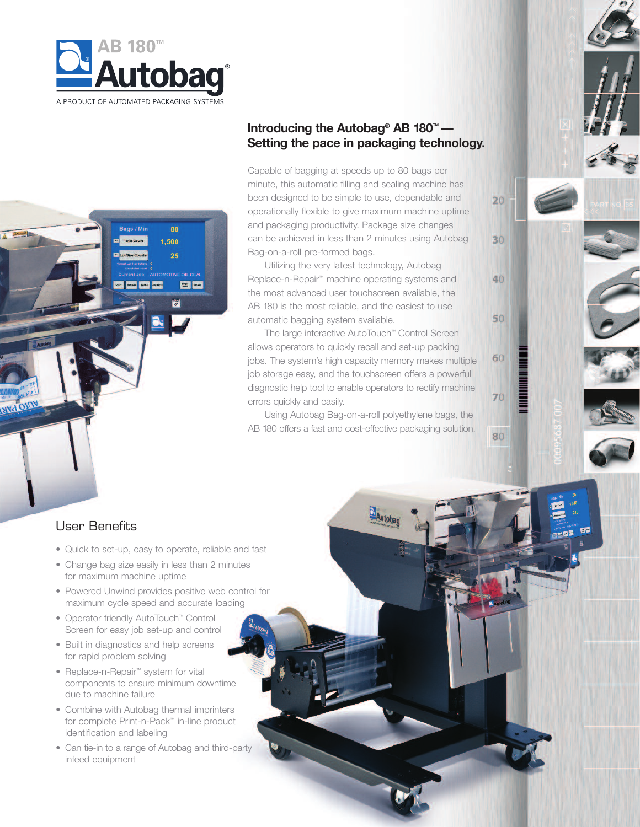



## **Introducing the Autobag® AB 180™ — Setting the pace in packaging technology.**

Capable of bagging at speeds up to 80 bags per minute, this automatic filling and sealing machine has been designed to be simple to use, dependable and operationally flexible to give maximum machine uptime and packaging productivity. Package size changes can be achieved in less than 2 minutes using Autobag Bag-on-a-roll pre-formed bags.

 $20$ 

30

40

50

60

70

80

Utilizing the very latest technology, Autobag Replace-n-Repair ™ machine operating systems and the most advanced user touchscreen available, the AB 180 is the most reliable, and the easiest to use automatic bagging system available.

The large interactive AutoTouch™ Control Screen allows operators to quickly recall and set-up packing jobs. The system's high capacity memory makes multiple job storage easy, and the touchscreen offers a powerful diagnostic help tool to enable operators to rectify machine errors quickly and easily.

Using Autobag Bag-on-a-roll polyethylene bags, the AB 180 offers a fast and cost-effective packaging solution.

Autobag

#### User Benefits

- Quick to set-up, easy to operate, reliable and fast
- Change bag size easily in less than 2 minutes for maximum machine uptime
- Powered Unwind provides positive web control for maximum cycle speed and accurate loading
- Operator friendly AutoTouch™ Control Screen for easy job set-up and control
- Built in diagnostics and help screens for rapid problem solving
- Replace-n-Repair<sup>™</sup> system for vital components to ensure minimum downtime due to machine failure
- Combine with Autobag thermal imprinters for complete Print-n-Pack™ in-line product identification and labeling
- Can tie-in to a range of Autobag and third-party infeed equipment